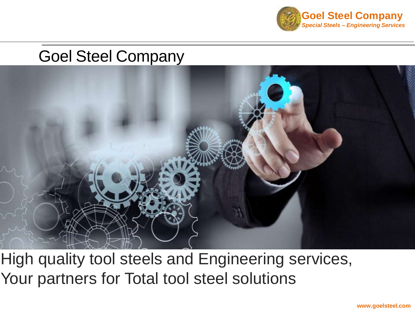

# Goel Steel Company



High quality tool steels and Engineering services, Your partners for Total tool steel solutions

**www.goelsteel.com**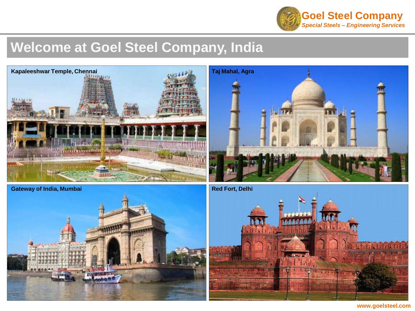

### **Welcome at Goel Steel Company, India**









**www.goelsteel.com**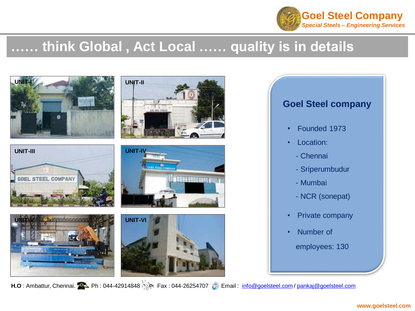

### **…… think Global , Act Local …… quality is in details**



**H.O** : Ambattur, Chennai. Ph : 044-42914848 Fax : 044-26254707 Email : [info@goelsteel.com](mailto:info@goelsteel.com) / [pankaj@goelsteel.com](mailto:pankaj@goelsteel.com)

#### **www.goelsteel.com**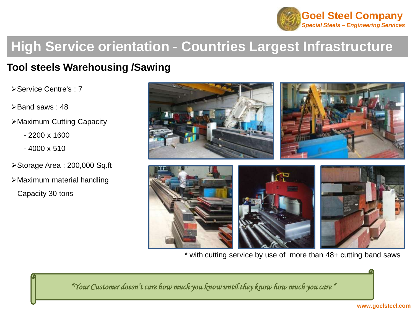![](_page_4_Picture_0.jpeg)

### **High Service orientation - Countries Largest Infrastructure**

#### **Tool steels Warehousing /Sawing**

Service Centre's : 7

- $\blacktriangleright$  Band saws : 48
- Maximum Cutting Capacity
	- 2200 x 1600
	- $-4000 \times 510$
- Storage Area : 200,000 Sq.ft
- Maximum material handling Capacity 30 tons

![](_page_4_Picture_10.jpeg)

\* with cutting service by use of more than 48+ cutting band saws

*"Your Customer doesn't care how much you know until they know how much you care "*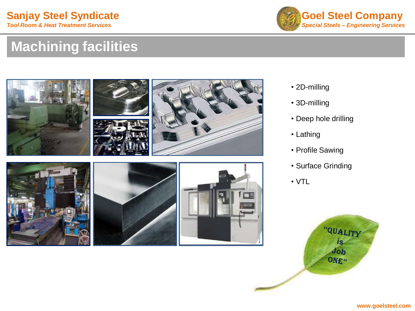![](_page_5_Picture_1.jpeg)

## **Machining facilities**

![](_page_5_Picture_3.jpeg)

- 2D-milling
- 3D-milling
- Deep hole drilling
- Lathing
- Profile Sawing
- Surface Grinding
- VTL

![](_page_5_Picture_11.jpeg)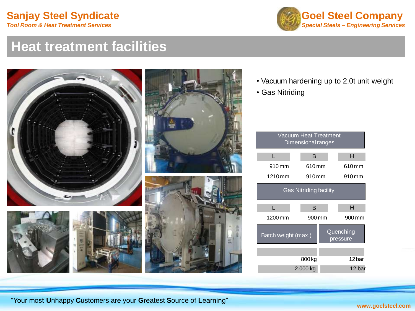![](_page_6_Picture_1.jpeg)

#### **Heat treatment facilities**

![](_page_6_Picture_3.jpeg)

![](_page_6_Picture_4.jpeg)

- Vacuum hardening up to 2.0t unit weight
- Gas Nitriding

| Vacuum Heat Treatment<br>Dimensional ranges |                   |           |
|---------------------------------------------|-------------------|-----------|
| L                                           | B                 | н         |
| 910 mm                                      | 610 mm            | 610 mm    |
| 1210 mm                                     | 910 <sub>mm</sub> | 910 mm    |
| <b>Gas Nitriding facility</b>               |                   |           |
| г                                           | в                 | н         |
| 1200 mm                                     | 900 mm            | 900 mm    |
| Batch weight (max.)                         |                   | Quenching |
|                                             |                   | pressure  |
|                                             |                   |           |
|                                             | 800 <sub>kg</sub> | 12 bar    |

![](_page_6_Picture_9.jpeg)

"Your most **U**nhappy **C**ustomers are your **G**reatest **S**ource of **L**earning"